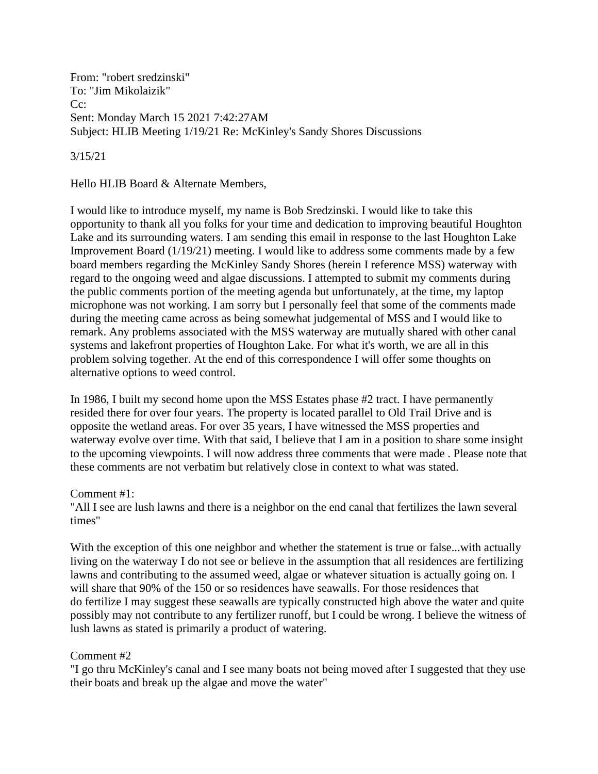From: "robert sredzinski" To: "Jim Mikolaizik" Cc: Sent: Monday March 15 2021 7:42:27AM Subject: HLIB Meeting 1/19/21 Re: McKinley's Sandy Shores Discussions

3/15/21

Hello HLIB Board & Alternate Members,

I would like to introduce myself, my name is Bob Sredzinski. I would like to take this opportunity to thank all you folks for your time and dedication to improving beautiful Houghton Lake and its surrounding waters. I am sending this email in response to the last Houghton Lake Improvement Board (1/19/21) meeting. I would like to address some comments made by a few board members regarding the McKinley Sandy Shores (herein I reference MSS) waterway with regard to the ongoing weed and algae discussions. I attempted to submit my comments during the public comments portion of the meeting agenda but unfortunately, at the time, my laptop microphone was not working. I am sorry but I personally feel that some of the comments made during the meeting came across as being somewhat judgemental of MSS and I would like to remark. Any problems associated with the MSS waterway are mutually shared with other canal systems and lakefront properties of Houghton Lake. For what it's worth, we are all in this problem solving together. At the end of this correspondence I will offer some thoughts on alternative options to weed control.

In 1986, I built my second home upon the MSS Estates phase #2 tract. I have permanently resided there for over four years. The property is located parallel to Old Trail Drive and is opposite the wetland areas. For over 35 years, I have witnessed the MSS properties and waterway evolve over time. With that said, I believe that I am in a position to share some insight to the upcoming viewpoints. I will now address three comments that were made . Please note that these comments are not verbatim but relatively close in context to what was stated.

Comment #1:

"All I see are lush lawns and there is a neighbor on the end canal that fertilizes the lawn several times"

With the exception of this one neighbor and whether the statement is true or false...with actually living on the waterway I do not see or believe in the assumption that all residences are fertilizing lawns and contributing to the assumed weed, algae or whatever situation is actually going on. I will share that 90% of the 150 or so residences have seawalls. For those residences that do fertilize I may suggest these seawalls are typically constructed high above the water and quite possibly may not contribute to any fertilizer runoff, but I could be wrong. I believe the witness of lush lawns as stated is primarily a product of watering.

## Comment #2

"I go thru McKinley's canal and I see many boats not being moved after I suggested that they use their boats and break up the algae and move the water"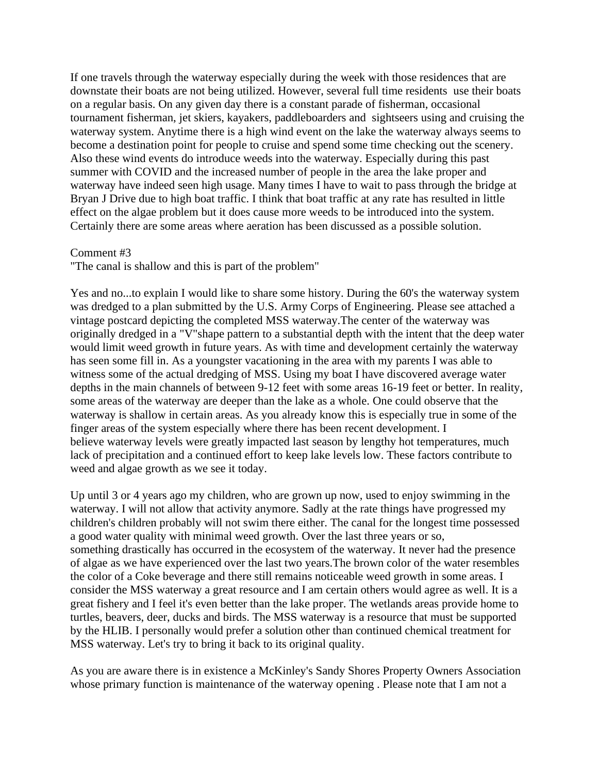If one travels through the waterway especially during the week with those residences that are downstate their boats are not being utilized. However, several full time residents use their boats on a regular basis. On any given day there is a constant parade of fisherman, occasional tournament fisherman, jet skiers, kayakers, paddleboarders and sightseers using and cruising the waterway system. Anytime there is a high wind event on the lake the waterway always seems to become a destination point for people to cruise and spend some time checking out the scenery. Also these wind events do introduce weeds into the waterway. Especially during this past summer with COVID and the increased number of people in the area the lake proper and waterway have indeed seen high usage. Many times I have to wait to pass through the bridge at Bryan J Drive due to high boat traffic. I think that boat traffic at any rate has resulted in little effect on the algae problem but it does cause more weeds to be introduced into the system. Certainly there are some areas where aeration has been discussed as a possible solution.

## Comment #3

"The canal is shallow and this is part of the problem"

Yes and no...to explain I would like to share some history. During the 60's the waterway system was dredged to a plan submitted by the U.S. Army Corps of Engineering. Please see attached a vintage postcard depicting the completed MSS waterway.The center of the waterway was originally dredged in a "V"shape pattern to a substantial depth with the intent that the deep water would limit weed growth in future years. As with time and development certainly the waterway has seen some fill in. As a youngster vacationing in the area with my parents I was able to witness some of the actual dredging of MSS. Using my boat I have discovered average water depths in the main channels of between 9-12 feet with some areas 16-19 feet or better. In reality, some areas of the waterway are deeper than the lake as a whole. One could observe that the waterway is shallow in certain areas. As you already know this is especially true in some of the finger areas of the system especially where there has been recent development. I believe waterway levels were greatly impacted last season by lengthy hot temperatures, much lack of precipitation and a continued effort to keep lake levels low. These factors contribute to weed and algae growth as we see it today.

Up until 3 or 4 years ago my children, who are grown up now, used to enjoy swimming in the waterway. I will not allow that activity anymore. Sadly at the rate things have progressed my children's children probably will not swim there either. The canal for the longest time possessed a good water quality with minimal weed growth. Over the last three years or so, something drastically has occurred in the ecosystem of the waterway. It never had the presence of algae as we have experienced over the last two years.The brown color of the water resembles the color of a Coke beverage and there still remains noticeable weed growth in some areas. I consider the MSS waterway a great resource and I am certain others would agree as well. It is a great fishery and I feel it's even better than the lake proper. The wetlands areas provide home to turtles, beavers, deer, ducks and birds. The MSS waterway is a resource that must be supported by the HLIB. I personally would prefer a solution other than continued chemical treatment for MSS waterway. Let's try to bring it back to its original quality.

As you are aware there is in existence a McKinley's Sandy Shores Property Owners Association whose primary function is maintenance of the waterway opening . Please note that I am not a